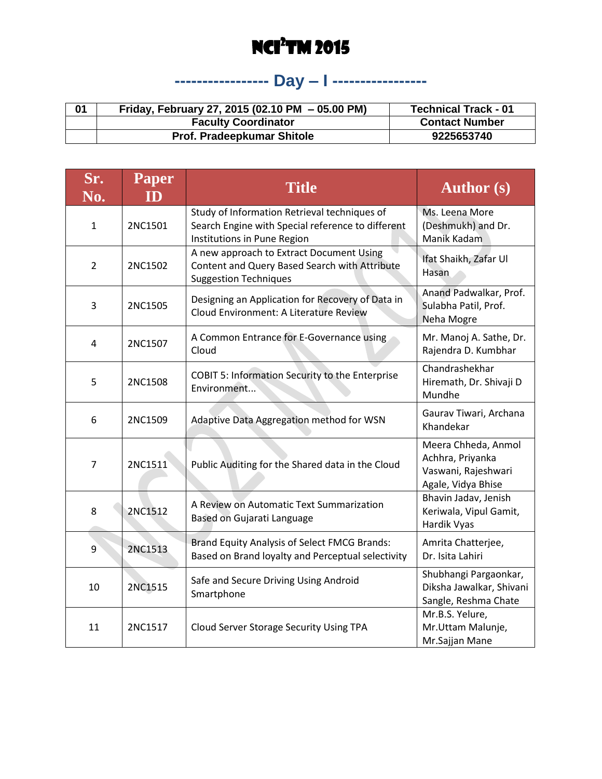### **----------------- Day – I -----------------**

| 01 | Friday, February 27, 2015 (02.10 PM - 05.00 PM) | <b>Technical Track - 01</b> |
|----|-------------------------------------------------|-----------------------------|
|    | <b>Faculty Coordinator</b>                      | <b>Contact Number</b>       |
|    | <b>Prof. Pradeepkumar Shitole</b>               | 9225653740                  |

| Sr.<br>No.     | <b>Paper</b><br>ID | <b>Title</b>                                                                                                                     | <b>Author</b> (s)                                                                    |
|----------------|--------------------|----------------------------------------------------------------------------------------------------------------------------------|--------------------------------------------------------------------------------------|
| $\mathbf{1}$   | 2NC1501            | Study of Information Retrieval techniques of<br>Search Engine with Special reference to different<br>Institutions in Pune Region | Ms. Leena More<br>(Deshmukh) and Dr.<br>Manik Kadam                                  |
| $\overline{2}$ | 2NC1502            | A new approach to Extract Document Using<br>Content and Query Based Search with Attribute<br><b>Suggestion Techniques</b>        | Ifat Shaikh, Zafar Ul<br>Hasan                                                       |
| 3              | 2NC1505            | Designing an Application for Recovery of Data in<br><b>Cloud Environment: A Literature Review</b>                                | Anand Padwalkar, Prof.<br>Sulabha Patil, Prof.<br>Neha Mogre                         |
| 4              | 2NC1507            | A Common Entrance for E-Governance using<br>Cloud                                                                                | Mr. Manoj A. Sathe, Dr.<br>Rajendra D. Kumbhar                                       |
| 5              | 2NC1508            | <b>COBIT 5: Information Security to the Enterprise</b><br>Environment                                                            | Chandrashekhar<br>Hiremath, Dr. Shivaji D<br>Mundhe                                  |
| 6              | 2NC1509            | Adaptive Data Aggregation method for WSN                                                                                         | Gaurav Tiwari, Archana<br>Khandekar                                                  |
| 7              | 2NC1511            | Public Auditing for the Shared data in the Cloud                                                                                 | Meera Chheda, Anmol<br>Achhra, Priyanka<br>Vaswani, Rajeshwari<br>Agale, Vidya Bhise |
| 8              | 2NC1512            | A Review on Automatic Text Summarization<br>Based on Gujarati Language                                                           | Bhavin Jadav, Jenish<br>Keriwala, Vipul Gamit,<br>Hardik Vyas                        |
| 9              | 2NC1513            | Brand Equity Analysis of Select FMCG Brands:<br>Based on Brand loyalty and Perceptual selectivity                                | Amrita Chatterjee,<br>Dr. Isita Lahiri                                               |
| 10             | 2NC1515            | Safe and Secure Driving Using Android<br>Smartphone                                                                              | Shubhangi Pargaonkar,<br>Diksha Jawalkar, Shivani<br>Sangle, Reshma Chate            |
| 11             | 2NC1517            | Cloud Server Storage Security Using TPA                                                                                          | Mr.B.S. Yelure,<br>Mr.Uttam Malunje,<br>Mr.Sajjan Mane                               |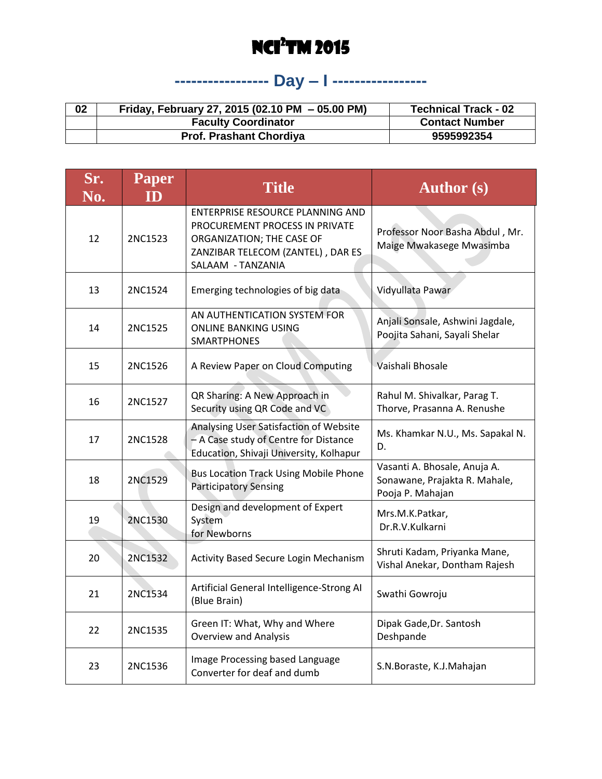# **----------------- Day – I -----------------**

| 02 | Friday, February 27, 2015 (02.10 PM - 05.00 PM) | <b>Technical Track - 02</b> |
|----|-------------------------------------------------|-----------------------------|
|    | <b>Faculty Coordinator</b>                      | <b>Contact Number</b>       |
|    | <b>Prof. Prashant Chordiya</b>                  | 9595992354                  |

| Sr.<br>No. | <b>Paper</b><br><b>ID</b> | <b>Title</b>                                                                                                                                              | <b>Author</b> (s)                                                                 |
|------------|---------------------------|-----------------------------------------------------------------------------------------------------------------------------------------------------------|-----------------------------------------------------------------------------------|
| 12         | 2NC1523                   | ENTERPRISE RESOURCE PLANNING AND<br>PROCUREMENT PROCESS IN PRIVATE<br>ORGANIZATION; THE CASE OF<br>ZANZIBAR TELECOM (ZANTEL), DAR ES<br>SALAAM - TANZANIA | Professor Noor Basha Abdul, Mr.<br>Maige Mwakasege Mwasimba                       |
| 13         | 2NC1524                   | Emerging technologies of big data                                                                                                                         | Vidyullata Pawar                                                                  |
| 14         | 2NC1525                   | AN AUTHENTICATION SYSTEM FOR<br><b>ONLINE BANKING USING</b><br><b>SMARTPHONES</b>                                                                         | Anjali Sonsale, Ashwini Jagdale,<br>Poojita Sahani, Sayali Shelar                 |
| 15         | 2NC1526                   | A Review Paper on Cloud Computing                                                                                                                         | Vaishali Bhosale                                                                  |
| 16         | 2NC1527                   | QR Sharing: A New Approach in<br>Security using QR Code and VC                                                                                            | Rahul M. Shivalkar, Parag T.<br>Thorve, Prasanna A. Renushe                       |
| 17         | 2NC1528                   | Analysing User Satisfaction of Website<br>- A Case study of Centre for Distance<br>Education, Shivaji University, Kolhapur                                | Ms. Khamkar N.U., Ms. Sapakal N.<br>D.                                            |
| 18         | 2NC1529                   | <b>Bus Location Track Using Mobile Phone</b><br><b>Participatory Sensing</b>                                                                              | Vasanti A. Bhosale, Anuja A.<br>Sonawane, Prajakta R. Mahale,<br>Pooja P. Mahajan |
| 19         | 2NC1530                   | Design and development of Expert<br>System<br>for Newborns                                                                                                | Mrs.M.K.Patkar,<br>Dr.R.V.Kulkarni                                                |
| 20         | 2NC1532                   | Activity Based Secure Login Mechanism                                                                                                                     | Shruti Kadam, Priyanka Mane,<br>Vishal Anekar, Dontham Rajesh                     |
| 21         | 2NC1534                   | Artificial General Intelligence-Strong AI<br>(Blue Brain)                                                                                                 | Swathi Gowroju                                                                    |
| 22         | 2NC1535                   | Green IT: What, Why and Where<br><b>Overview and Analysis</b>                                                                                             | Dipak Gade, Dr. Santosh<br>Deshpande                                              |
| 23         | 2NC1536                   | Image Processing based Language<br>Converter for deaf and dumb                                                                                            | S.N.Boraste, K.J.Mahajan                                                          |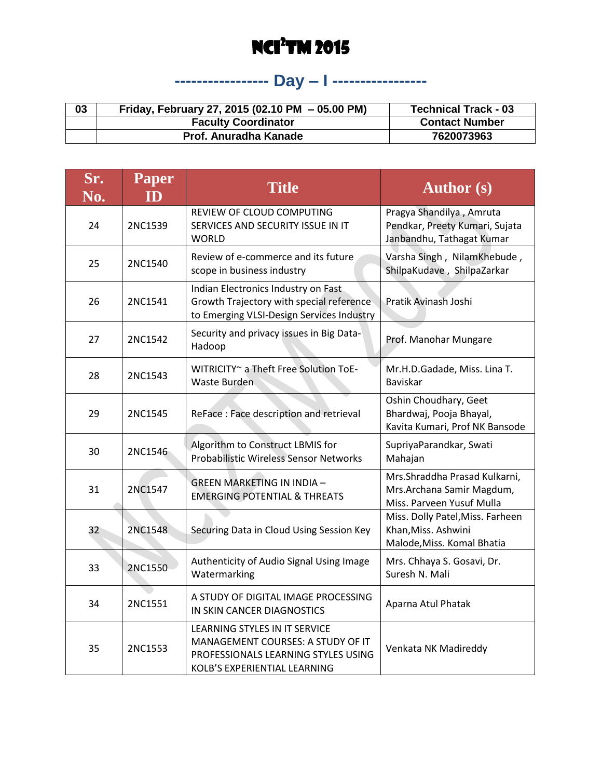### **----------------- Day – I -----------------**

| 03 | Friday, February 27, 2015 (02.10 PM - 05.00 PM) | <b>Technical Track - 03</b> |
|----|-------------------------------------------------|-----------------------------|
|    | <b>Faculty Coordinator</b>                      | <b>Contact Number</b>       |
|    | Prof. Anuradha Kanade                           | 7620073963                  |

| Sr.<br>No. | <b>Paper</b><br>ID | <b>Title</b>                                                                                                                              | <b>Author</b> (s)                                                                       |
|------------|--------------------|-------------------------------------------------------------------------------------------------------------------------------------------|-----------------------------------------------------------------------------------------|
| 24         | 2NC1539            | REVIEW OF CLOUD COMPUTING<br>SERVICES AND SECURITY ISSUE IN IT<br><b>WORLD</b>                                                            | Pragya Shandilya, Amruta<br>Pendkar, Preety Kumari, Sujata<br>Janbandhu, Tathagat Kumar |
| 25         | 2NC1540            | Review of e-commerce and its future<br>scope in business industry                                                                         | Varsha Singh, NilamKhebude,<br>ShilpaKudave, ShilpaZarkar                               |
| 26         | 2NC1541            | Indian Electronics Industry on Fast<br>Growth Trajectory with special reference<br>to Emerging VLSI-Design Services Industry              | Pratik Avinash Joshi                                                                    |
| 27         | 2NC1542            | Security and privacy issues in Big Data-<br>Hadoop                                                                                        | Prof. Manohar Mungare                                                                   |
| 28         | 2NC1543            | WITRICITY~ a Theft Free Solution ToE-<br>Waste Burden                                                                                     | Mr.H.D.Gadade, Miss. Lina T.<br><b>Baviskar</b>                                         |
| 29         | 2NC1545            | ReFace: Face description and retrieval                                                                                                    | Oshin Choudhary, Geet<br>Bhardwaj, Pooja Bhayal,<br>Kavita Kumari, Prof NK Bansode      |
| 30         | 2NC1546            | Algorithm to Construct LBMIS for<br>Probabilistic Wireless Sensor Networks                                                                | SupriyaParandkar, Swati<br>Mahajan                                                      |
| 31         | 2NC1547            | <b>GREEN MARKETING IN INDIA -</b><br><b>EMERGING POTENTIAL &amp; THREATS</b>                                                              | Mrs.Shraddha Prasad Kulkarni,<br>Mrs.Archana Samir Magdum,<br>Miss. Parveen Yusuf Mulla |
| 32         | 2NC1548            | Securing Data in Cloud Using Session Key                                                                                                  | Miss. Dolly Patel, Miss. Farheen<br>Khan, Miss. Ashwini<br>Malode, Miss. Komal Bhatia   |
| 33         | 2NC1550            | Authenticity of Audio Signal Using Image<br>Watermarking                                                                                  | Mrs. Chhaya S. Gosavi, Dr.<br>Suresh N. Mali                                            |
| 34         | 2NC1551            | A STUDY OF DIGITAL IMAGE PROCESSING<br>IN SKIN CANCER DIAGNOSTICS                                                                         | Aparna Atul Phatak                                                                      |
| 35         | 2NC1553            | LEARNING STYLES IN IT SERVICE<br>MANAGEMENT COURSES: A STUDY OF IT<br>PROFESSIONALS LEARNING STYLES USING<br>KOLB'S EXPERIENTIAL LEARNING | Venkata NK Madireddy                                                                    |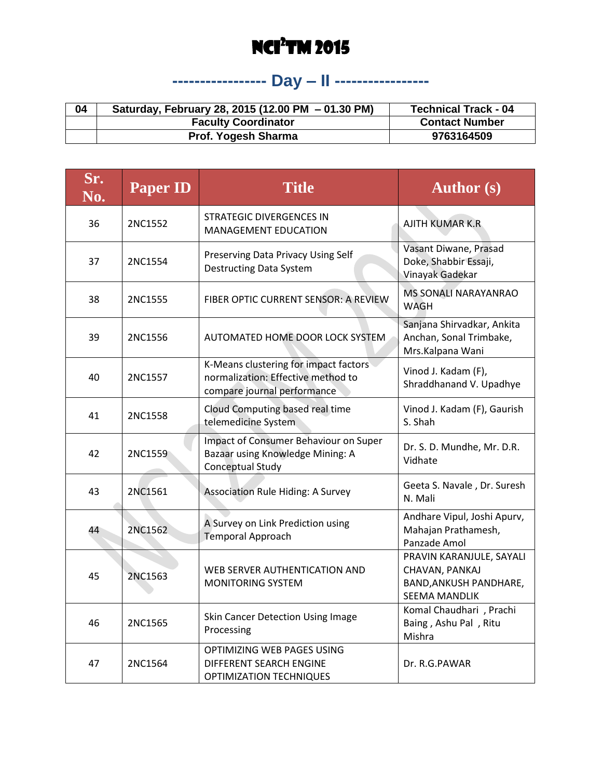# **----------------- Day – II -----------------**

| 04 | Saturday, February 28, 2015 (12.00 PM - 01.30 PM) | <b>Technical Track - 04</b> |
|----|---------------------------------------------------|-----------------------------|
|    | <b>Faculty Coordinator</b>                        | <b>Contact Number</b>       |
|    | Prof. Yogesh Sharma                               | 9763164509                  |

| Sr.<br>$\overline{{\rm \bf No.}}$ | <b>Paper ID</b> | <b>Title</b>                                                                                               | <b>Author</b> (s)                                                                                   |
|-----------------------------------|-----------------|------------------------------------------------------------------------------------------------------------|-----------------------------------------------------------------------------------------------------|
| 36                                | 2NC1552         | <b>STRATEGIC DIVERGENCES IN</b><br><b>MANAGEMENT EDUCATION</b>                                             | <b>AJITH KUMAR K.R.</b>                                                                             |
| 37                                | 2NC1554         | Preserving Data Privacy Using Self<br><b>Destructing Data System</b>                                       | Vasant Diwane, Prasad<br>Doke, Shabbir Essaji,<br>Vinayak Gadekar                                   |
| 38                                | 2NC1555         | FIBER OPTIC CURRENT SENSOR: A REVIEW                                                                       | <b>MS SONALI NARAYANRAO</b><br>WAGH                                                                 |
| 39                                | 2NC1556         | AUTOMATED HOME DOOR LOCK SYSTEM                                                                            | Sanjana Shirvadkar, Ankita<br>Anchan, Sonal Trimbake,<br>Mrs.Kalpana Wani                           |
| 40                                | 2NC1557         | K-Means clustering for impact factors<br>normalization: Effective method to<br>compare journal performance | Vinod J. Kadam (F),<br>Shraddhanand V. Upadhye                                                      |
| 41                                | 2NC1558         | Cloud Computing based real time<br>telemedicine System                                                     | Vinod J. Kadam (F), Gaurish<br>S. Shah                                                              |
| 42                                | 2NC1559         | Impact of Consumer Behaviour on Super<br>Bazaar using Knowledge Mining: A<br>Conceptual Study              | Dr. S. D. Mundhe, Mr. D.R.<br>Vidhate                                                               |
| 43                                | 2NC1561         | Association Rule Hiding: A Survey                                                                          | Geeta S. Navale, Dr. Suresh<br>N. Mali                                                              |
| 44                                | 2NC1562         | A Survey on Link Prediction using<br><b>Temporal Approach</b>                                              | Andhare Vipul, Joshi Apurv,<br>Mahajan Prathamesh,<br>Panzade Amol                                  |
| 45                                | 2NC1563         | WEB SERVER AUTHENTICATION AND<br><b>MONITORING SYSTEM</b>                                                  | PRAVIN KARANJULE, SAYALI<br>CHAVAN, PANKAJ<br><b>BAND, ANKUSH PANDHARE,</b><br><b>SEEMA MANDLIK</b> |
| 46                                | 2NC1565         | Skin Cancer Detection Using Image<br>Processing                                                            | Komal Chaudhari , Prachi<br>Baing, Ashu Pal, Ritu<br>Mishra                                         |
| 47                                | 2NC1564         | OPTIMIZING WEB PAGES USING<br>DIFFERENT SEARCH ENGINE<br><b>OPTIMIZATION TECHNIQUES</b>                    | Dr. R.G.PAWAR                                                                                       |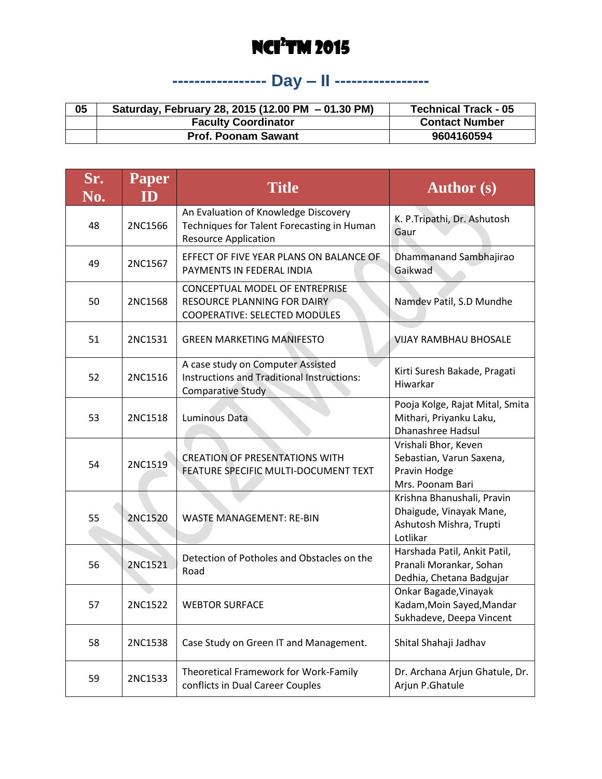# **----------------- Day – II -----------------**

| 05 | Saturday, February 28, 2015 (12.00 PM - 01.30 PM) | <b>Technical Track - 05</b> |
|----|---------------------------------------------------|-----------------------------|
|    | <b>Faculty Coordinator</b>                        | <b>Contact Number</b>       |
|    | <b>Prof. Poonam Sawant</b>                        | 9604160594                  |

| Sr.<br>No. | <b>Paper</b><br>ID | <b>Title</b>                                                                                                      | <b>Author</b> (s)                                                                            |
|------------|--------------------|-------------------------------------------------------------------------------------------------------------------|----------------------------------------------------------------------------------------------|
| 48         | 2NC1566            | An Evaluation of Knowledge Discovery<br>Techniques for Talent Forecasting in Human<br><b>Resource Application</b> | K. P. Tripathi, Dr. Ashutosh<br>Gaur                                                         |
| 49         | 2NC1567            | EFFECT OF FIVE YEAR PLANS ON BALANCE OF<br>PAYMENTS IN FEDERAL INDIA                                              | Dhammanand Sambhajirao<br>Gaikwad                                                            |
| 50         | 2NC1568            | CONCEPTUAL MODEL OF ENTREPRISE<br>RESOURCE PLANNING FOR DAIRY<br>COOPERATIVE: SELECTED MODULES                    | Namdev Patil, S.D Mundhe                                                                     |
| 51         | 2NC1531            | <b>GREEN MARKETING MANIFESTO</b>                                                                                  | <b>VIJAY RAMBHAU BHOSALE</b>                                                                 |
| 52         | 2NC1516            | A case study on Computer Assisted<br>Instructions and Traditional Instructions:<br><b>Comparative Study</b>       | Kirti Suresh Bakade, Pragati<br>Hiwarkar                                                     |
| 53         | 2NC1518            | <b>Luminous Data</b>                                                                                              | Pooja Kolge, Rajat Mital, Smita<br>Mithari, Priyanku Laku,<br>Dhanashree Hadsul              |
| 54         | 2NC1519            | <b>CREATION OF PRESENTATIONS WITH</b><br>FEATURE SPECIFIC MULTI-DOCUMENT TEXT                                     | Vrishali Bhor, Keven<br>Sebastian, Varun Saxena,<br>Pravin Hodge<br>Mrs. Poonam Bari         |
| 55         | 2NC1520            | <b>WASTE MANAGEMENT: RE-BIN</b>                                                                                   | Krishna Bhanushali, Pravin<br>Dhaigude, Vinayak Mane,<br>Ashutosh Mishra, Trupti<br>Lotlikar |
| 56         | 2NC1521            | Detection of Potholes and Obstacles on the<br>Road                                                                | Harshada Patil, Ankit Patil,<br>Pranali Morankar, Sohan<br>Dedhia, Chetana Badgujar          |
| 57         | 2NC1522            | <b>WEBTOR SURFACE</b>                                                                                             | Onkar Bagade, Vinayak<br>Kadam, Moin Sayed, Mandar<br>Sukhadeve, Deepa Vincent               |
| 58         | 2NC1538            | Case Study on Green IT and Management.                                                                            | Shital Shahaji Jadhav                                                                        |
| 59         | 2NC1533            | Theoretical Framework for Work-Family<br>conflicts in Dual Career Couples                                         | Dr. Archana Arjun Ghatule, Dr.<br>Arjun P.Ghatule                                            |